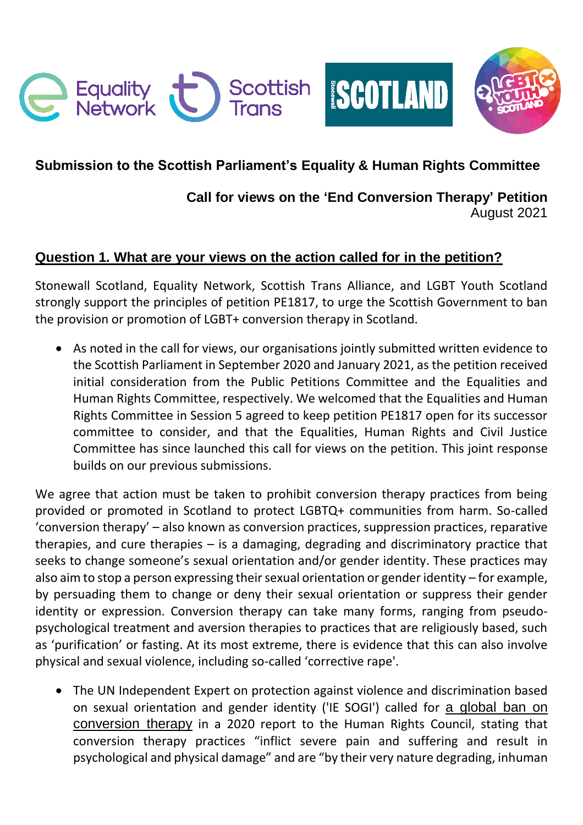

# **Submission to the Scottish Parliament's Equality & Human Rights Committee**

## **Call for views on the 'End Conversion Therapy' Petition** August 2021

## **Question 1. What are your views on the action called for in the petition?**

Stonewall Scotland, Equality Network, Scottish Trans Alliance, and LGBT Youth Scotland strongly support the principles of petition PE1817, to urge the Scottish Government to ban the provision or promotion of LGBT+ conversion therapy in Scotland.

 As noted in the call for views, our organisations jointly submitted written evidence to the Scottish Parliament in September 2020 and January 2021, as the petition received initial consideration from the Public Petitions Committee and the Equalities and Human Rights Committee, respectively. We welcomed that the Equalities and Human Rights Committee in Session 5 agreed to keep petition PE1817 open for its successor committee to consider, and that the Equalities, Human Rights and Civil Justice Committee has since launched this call for views on the petition. This joint response builds on our previous submissions.

We agree that action must be taken to prohibit conversion therapy practices from being provided or promoted in Scotland to protect LGBTQ+ communities from harm. So-called 'conversion therapy' – also known as conversion practices, suppression practices, reparative therapies, and cure therapies – is a damaging, degrading and discriminatory practice that seeks to change someone's sexual orientation and/or gender identity. These practices may also aim to stop a person expressing their sexual orientation or gender identity – for example, by persuading them to change or deny their sexual orientation or suppress their gender identity or expression. Conversion therapy can take many forms, ranging from pseudopsychological treatment and aversion therapies to practices that are religiously based, such as 'purification' or fasting. At its most extreme, there is evidence that this can also involve physical and sexual violence, including so-called 'corrective rape'.

 The UN Independent Expert on protection against violence and discrimination based on sexual orientation and gender identity ('IE SOGI') called for [a global ban on](https://www.ohchr.org/EN/Issues/SexualOrientationGender/Pages/ReportOnConversiontherapy.aspx)  [conversion therapy](https://www.ohchr.org/EN/Issues/SexualOrientationGender/Pages/ReportOnConversiontherapy.aspx) in a 2020 report to the Human Rights Council, stating that conversion therapy practices "inflict severe pain and suffering and result in psychological and physical damage" and are "by their very nature degrading, inhuman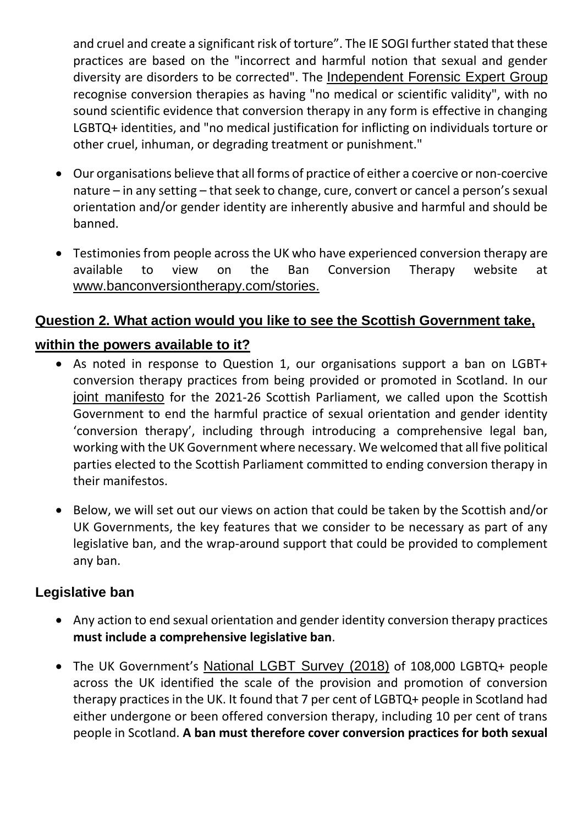and cruel and create a significant risk of torture". The IE SOGI further stated that these practices are based on the "incorrect and harmful notion that sexual and gender diversity are disorders to be corrected". The [Independent Forensic Expert Group](https://www.ohchr.org/Documents/Issues/SexualOrientation/IESOGI/CSOsAJ/IFEG_Statement_on_C.T._for_publication.pdf) recognise conversion therapies as having "no medical or scientific validity", with no sound scientific evidence that conversion therapy in any form is effective in changing LGBTQ+ identities, and "no medical justification for inflicting on individuals torture or other cruel, inhuman, or degrading treatment or punishment."

- Our organisations believe that all forms of practice of either a coercive or non-coercive nature – in any setting – that seek to change, cure, convert or cancel a person's sexual orientation and/or gender identity are inherently abusive and harmful and should be banned.
- Testimonies from people across the UK who have experienced conversion therapy are available to view on the Ban Conversion Therapy website at www.banconversiontherapy.com/stories.

## **Question 2. What action would you like to see the Scottish Government take,**

#### **within the powers available to it?**

- As noted in response to Question 1, our organisations support a ban on LGBT+ conversion therapy practices from being provided or promoted in Scotland. In our [joint manifesto](https://www.stonewall.org.uk/system/files/lgbti_equality_manifesto_-_2021-26_scottish_parliament.pdf) for the 2021-26 Scottish Parliament, we called upon the Scottish Government to end the harmful practice of sexual orientation and gender identity 'conversion therapy', including through introducing a comprehensive legal ban, working with the UK Government where necessary. We welcomed that all five political parties elected to the Scottish Parliament committed to ending conversion therapy in their manifestos.
- Below, we will set out our views on action that could be taken by the Scottish and/or UK Governments, the key features that we consider to be necessary as part of any legislative ban, and the wrap-around support that could be provided to complement any ban.

#### **Legislative ban**

- Any action to end sexual orientation and gender identity conversion therapy practices **must include a comprehensive legislative ban**.
- The UK Government's [National LGBT Survey](https://www.gov.uk/government/publications/national-lgbt-survey-summary-report) (2018) of 108,000 LGBTQ+ people across the UK identified the scale of the provision and promotion of conversion therapy practices in the UK. It found that 7 per cent of LGBTQ+ people in Scotland had either undergone or been offered conversion therapy, including 10 per cent of trans people in Scotland. **A ban must therefore cover conversion practices for both sexual**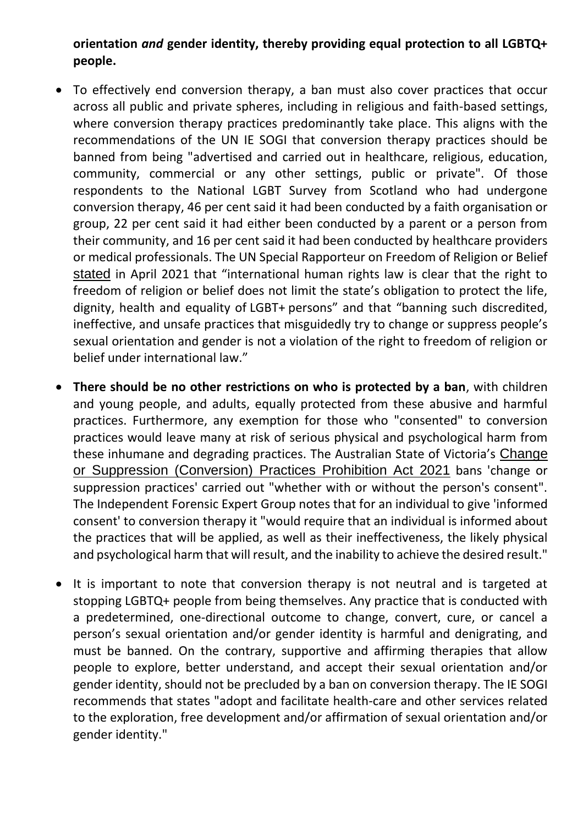#### **orientation** *and* **gender identity, thereby providing equal protection to all LGBTQ+ people.**

- To effectively end conversion therapy, a ban must also cover practices that occur across all public and private spheres, including in religious and faith-based settings, where conversion therapy practices predominantly take place. This aligns with the recommendations of the UN IE SOGI that conversion therapy practices should be banned from being "advertised and carried out in healthcare, religious, education, community, commercial or any other settings, public or private". Of those respondents to the National LGBT Survey from Scotland who had undergone conversion therapy, 46 per cent said it had been conducted by a faith organisation or group, 22 per cent said it had either been conducted by a parent or a person from their community, and 16 per cent said it had been conducted by healthcare providers or medical professionals. The UN Special Rapporteur on Freedom of Religion or Belief [stated](https://www.itv.com/news/2021-04-15/exclusive-un-urges-government-to-ban-chilling-conversion-therapy) in April 2021 that "international human rights law is clear that the right to freedom of religion or belief does not limit the state's obligation to protect the life, dignity, health and equality of LGBT+ persons" and that "banning such discredited, ineffective, and unsafe practices that misguidedly try to change or suppress people's sexual orientation and gender is not a violation of the right to freedom of religion or belief under international law."
- **There should be no other restrictions on who is protected by a ban**, with children and young people, and adults, equally protected from these abusive and harmful practices. Furthermore, any exemption for those who "consented" to conversion practices would leave many at risk of serious physical and psychological harm from these inhumane and degrading practices. The Australian State of Victoria's [Change](https://www.legislation.vic.gov.au/as-made/acts/change-or-suppression-conversion-practices-prohibition-act-2021)  [or Suppression \(Conversion\) Practices Prohibition Act 2021](https://www.legislation.vic.gov.au/as-made/acts/change-or-suppression-conversion-practices-prohibition-act-2021) bans 'change or suppression practices' carried out "whether with or without the person's consent". The Independent Forensic Expert Group notes that for an individual to give 'informed consent' to conversion therapy it "would require that an individual is informed about the practices that will be applied, as well as their ineffectiveness, the likely physical and psychological harm that will result, and the inability to achieve the desired result."
- It is important to note that conversion therapy is not neutral and is targeted at stopping LGBTQ+ people from being themselves. Any practice that is conducted with a predetermined, one-directional outcome to change, convert, cure, or cancel a person's sexual orientation and/or gender identity is harmful and denigrating, and must be banned. On the contrary, supportive and affirming therapies that allow people to explore, better understand, and accept their sexual orientation and/or gender identity, should not be precluded by a ban on conversion therapy. The IE SOGI recommends that states "adopt and facilitate health-care and other services related to the exploration, free development and/or affirmation of sexual orientation and/or gender identity."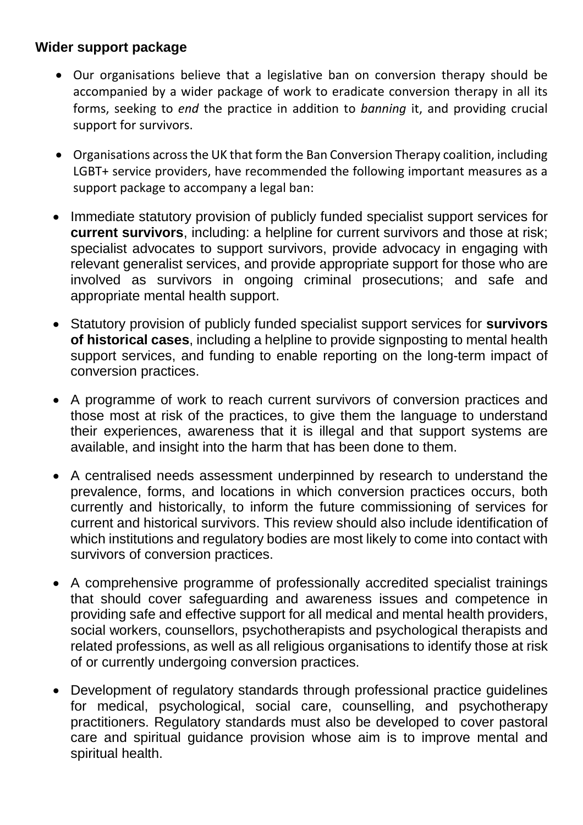## **Wider support package**

- Our organisations believe that a legislative ban on conversion therapy should be accompanied by a wider package of work to eradicate conversion therapy in all its forms, seeking to *end* the practice in addition to *banning* it, and providing crucial support for survivors.
- Organisations across the UK that form the Ban Conversion Therapy coalition, including LGBT+ service providers, have recommended the following important measures as a support package to accompany a legal ban:
- Immediate statutory provision of publicly funded specialist support services for **current survivors**, including: a helpline for current survivors and those at risk; specialist advocates to support survivors, provide advocacy in engaging with relevant generalist services, and provide appropriate support for those who are involved as survivors in ongoing criminal prosecutions; and safe and appropriate mental health support.
- Statutory provision of publicly funded specialist support services for **survivors of historical cases**, including a helpline to provide signposting to mental health support services, and funding to enable reporting on the long-term impact of conversion practices.
- A programme of work to reach current survivors of conversion practices and those most at risk of the practices, to give them the language to understand their experiences, awareness that it is illegal and that support systems are available, and insight into the harm that has been done to them.
- A centralised needs assessment underpinned by research to understand the prevalence, forms, and locations in which conversion practices occurs, both currently and historically, to inform the future commissioning of services for current and historical survivors. This review should also include identification of which institutions and regulatory bodies are most likely to come into contact with survivors of conversion practices.
- A comprehensive programme of professionally accredited specialist trainings that should cover safeguarding and awareness issues and competence in providing safe and effective support for all medical and mental health providers, social workers, counsellors, psychotherapists and psychological therapists and related professions, as well as all religious organisations to identify those at risk of or currently undergoing conversion practices.
- Development of regulatory standards through professional practice guidelines for medical, psychological, social care, counselling, and psychotherapy practitioners. Regulatory standards must also be developed to cover pastoral care and spiritual guidance provision whose aim is to improve mental and spiritual health.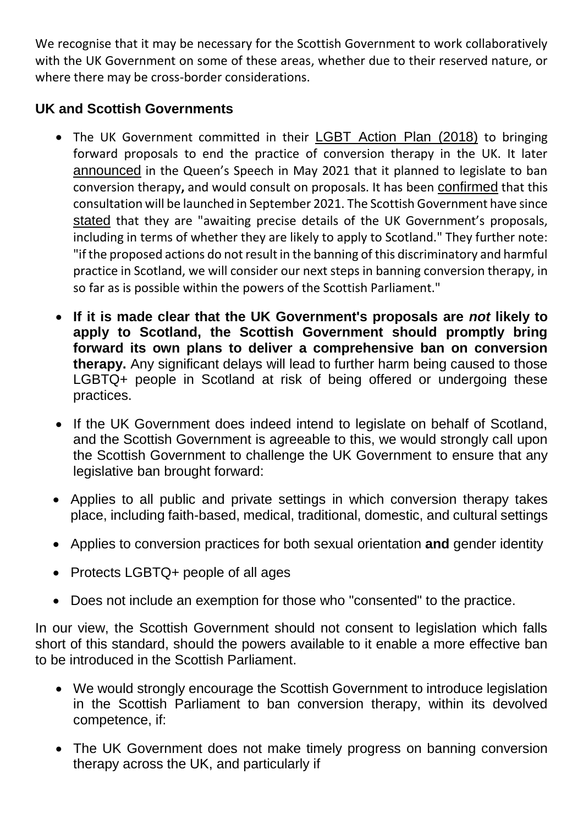We recognise that it may be necessary for the Scottish Government to work collaboratively with the UK Government on some of these areas, whether due to their reserved nature, or where there may be cross-border considerations.

# **UK and Scottish Governments**

- The UK Government committed in their **LGBT** Action Plan (2018) to bringing forward proposals to end the practice of conversion therapy in the UK. It later [announced](https://www.gov.uk/government/news/government-sets-out-plan-to-ban-conversion-therapy) in the Queen's Speech in May 2021 that it planned to legislate to ban conversion therapy**,** and would consult on proposals. It has been [confirmed](https://www.theyworkforyou.com/debates/?id=2021-07-01a.450.0&s=speaker%3A24934#g495.1) that this consultation will be launched in September 2021. The Scottish Government have since [stated](https://www.parliament.scot/chamber-and-committees/written-questions-and-answers/question?ref=S6W-00736) that they are "awaiting precise details of the UK Government's proposals, including in terms of whether they are likely to apply to Scotland." They further note: "if the proposed actions do not result in the banning of this discriminatory and harmful practice in Scotland, we will consider our next steps in banning conversion therapy, in so far as is possible within the powers of the Scottish Parliament."
- **If it is made clear that the UK Government's proposals are** *not* **likely to apply to Scotland, the Scottish Government should promptly bring forward its own plans to deliver a comprehensive ban on conversion therapy.** Any significant delays will lead to further harm being caused to those LGBTQ+ people in Scotland at risk of being offered or undergoing these practices.
- If the UK Government does indeed intend to legislate on behalf of Scotland, and the Scottish Government is agreeable to this, we would strongly call upon the Scottish Government to challenge the UK Government to ensure that any legislative ban brought forward:
- Applies to all public and private settings in which conversion therapy takes place, including faith-based, medical, traditional, domestic, and cultural settings
- Applies to conversion practices for both sexual orientation **and** gender identity
- Protects LGBTQ+ people of all ages
- Does not include an exemption for those who "consented" to the practice.

In our view, the Scottish Government should not consent to legislation which falls short of this standard, should the powers available to it enable a more effective ban to be introduced in the Scottish Parliament.

- We would strongly encourage the Scottish Government to introduce legislation in the Scottish Parliament to ban conversion therapy, within its devolved competence, if:
- The UK Government does not make timely progress on banning conversion therapy across the UK, and particularly if